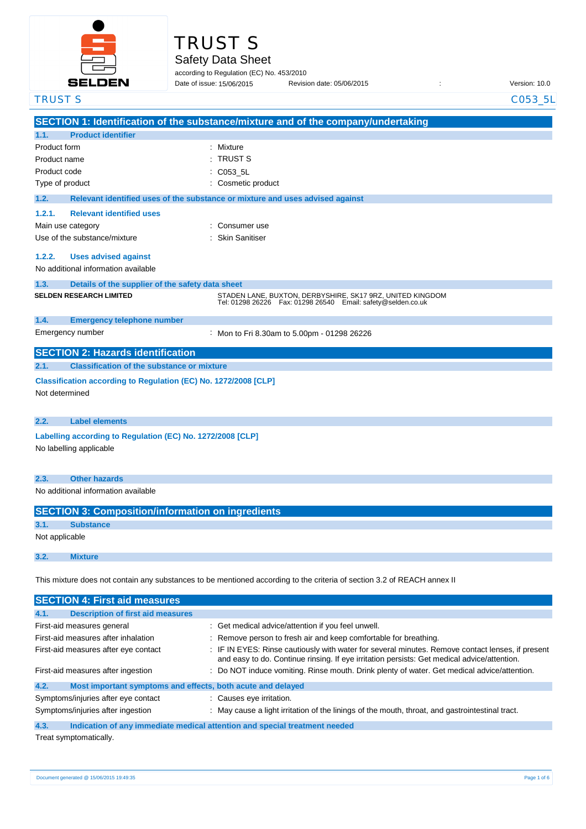

# TRUST S

Safety Data Sheet

according to Regulation (EC) No. 453/2010

Date of issue: Revision date: 05/06/2015 : Version: 10.0 Date of issue: 15/06/2015

| <b>TRUST S</b>                                                                                                          |                                                                                       | C053_5L                                                                                                                                                                                       |
|-------------------------------------------------------------------------------------------------------------------------|---------------------------------------------------------------------------------------|-----------------------------------------------------------------------------------------------------------------------------------------------------------------------------------------------|
|                                                                                                                         |                                                                                       | SECTION 1: Identification of the substance/mixture and of the company/undertaking                                                                                                             |
| 1.1.                                                                                                                    | <b>Product identifier</b>                                                             |                                                                                                                                                                                               |
| Product form                                                                                                            |                                                                                       | Mixture                                                                                                                                                                                       |
| Product name                                                                                                            |                                                                                       | <b>TRUST S</b>                                                                                                                                                                                |
| Product code                                                                                                            |                                                                                       | C053_5L                                                                                                                                                                                       |
| Type of product                                                                                                         |                                                                                       | Cosmetic product                                                                                                                                                                              |
| 1.2.                                                                                                                    |                                                                                       | Relevant identified uses of the substance or mixture and uses advised against                                                                                                                 |
| 1.2.1.                                                                                                                  | <b>Relevant identified uses</b>                                                       |                                                                                                                                                                                               |
|                                                                                                                         | Main use category                                                                     | Consumer use                                                                                                                                                                                  |
|                                                                                                                         | Use of the substance/mixture                                                          | <b>Skin Sanitiser</b>                                                                                                                                                                         |
| 1.2.2.                                                                                                                  | <b>Uses advised against</b><br>No additional information available                    |                                                                                                                                                                                               |
| 1.3.                                                                                                                    | Details of the supplier of the safety data sheet                                      |                                                                                                                                                                                               |
|                                                                                                                         | <b>SELDEN RESEARCH LIMITED</b>                                                        | STADEN LANE, BUXTON, DERBYSHIRE, SK17 9RZ, UNITED KINGDOM<br>Tel: 01298 26226    Fax: 01298 26540    Email: safety@selden.co.uk                                                               |
| 1.4.                                                                                                                    | <b>Emergency telephone number</b>                                                     |                                                                                                                                                                                               |
|                                                                                                                         | Emergency number                                                                      | Mon to Fri 8.30am to 5.00pm - 01298 26226                                                                                                                                                     |
|                                                                                                                         | <b>SECTION 2: Hazards identification</b>                                              |                                                                                                                                                                                               |
| 2.1.                                                                                                                    | <b>Classification of the substance or mixture</b>                                     |                                                                                                                                                                                               |
| Not determined                                                                                                          | Classification according to Regulation (EC) No. 1272/2008 [CLP]                       |                                                                                                                                                                                               |
| 2.2.                                                                                                                    | <b>Label elements</b>                                                                 |                                                                                                                                                                                               |
|                                                                                                                         | Labelling according to Regulation (EC) No. 1272/2008 [CLP]<br>No labelling applicable |                                                                                                                                                                                               |
| 2.3.                                                                                                                    | <b>Other hazards</b>                                                                  |                                                                                                                                                                                               |
|                                                                                                                         | No additional information available                                                   |                                                                                                                                                                                               |
|                                                                                                                         | <b>SECTION 3: Composition/information on ingredients</b>                              |                                                                                                                                                                                               |
| 3.1.                                                                                                                    | <b>Substance</b>                                                                      |                                                                                                                                                                                               |
| Not applicable                                                                                                          |                                                                                       |                                                                                                                                                                                               |
| 3.2.                                                                                                                    | <b>Mixture</b>                                                                        |                                                                                                                                                                                               |
| This mixture does not contain any substances to be mentioned according to the criteria of section 3.2 of REACH annex II |                                                                                       |                                                                                                                                                                                               |
|                                                                                                                         | <b>SECTION 4: First aid measures</b>                                                  |                                                                                                                                                                                               |
| 4.1.                                                                                                                    | <b>Description of first aid measures</b>                                              |                                                                                                                                                                                               |
|                                                                                                                         | First-aid measures general                                                            | Get medical advice/attention if you feel unwell.                                                                                                                                              |
|                                                                                                                         | First-aid measures after inhalation                                                   | Remove person to fresh air and keep comfortable for breathing.                                                                                                                                |
|                                                                                                                         | First-aid measures after eye contact                                                  | IF IN EYES: Rinse cautiously with water for several minutes. Remove contact lenses, if present<br>and easy to do. Continue rinsing. If eye irritation persists: Get medical advice/attention. |
|                                                                                                                         | First-aid measures after ingestion                                                    | Do NOT induce vomiting. Rinse mouth. Drink plenty of water. Get medical advice/attention.                                                                                                     |
| 4.2.                                                                                                                    | Most important symptoms and effects, both acute and delayed                           |                                                                                                                                                                                               |
|                                                                                                                         | Symptoms/injuries after eye contact<br>Symptoms/injuries after ingestion              | : Causes eye irritation.<br>May cause a light irritation of the linings of the mouth, throat, and gastrointestinal tract.                                                                     |

**4.3. Indication of any immediate medical attention and special treatment needed**

Treat symptomatically.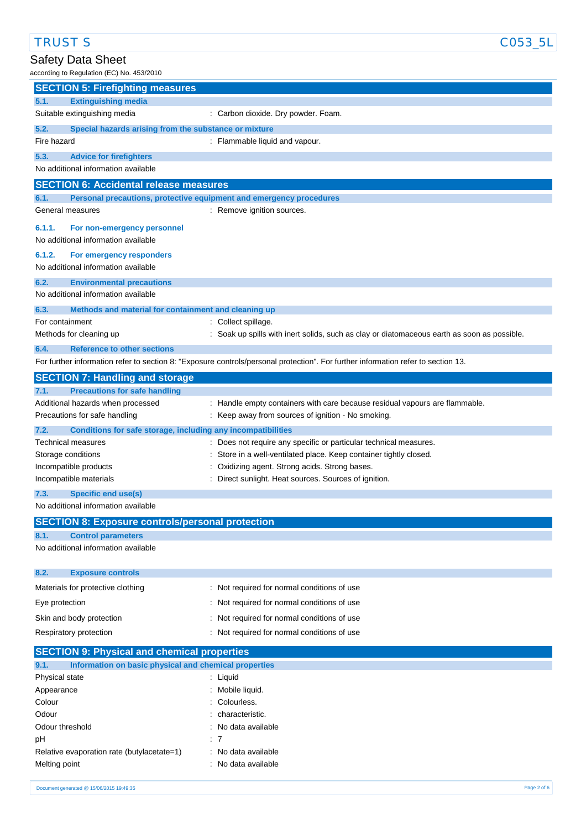TRUST SAND SERVICES AND TRUST SANDWARE SERVICES AND TRUST SANDWARE SERVICES AND TRUST SANDWARE SERVICES AND TRUST SANDWARE SERVICES AND TRUST SANDWARE SERVICES AND TRUST SANDWARE SERVICES AND TRUST SANDWARE SERVICES AND TR

## Safety Data Sheet

| according to Regulation (EC) No. 453/2010                                                  |                                                                                                                                   |  |  |
|--------------------------------------------------------------------------------------------|-----------------------------------------------------------------------------------------------------------------------------------|--|--|
| <b>SECTION 5: Firefighting measures</b>                                                    |                                                                                                                                   |  |  |
| <b>Extinguishing media</b><br>5.1.                                                         |                                                                                                                                   |  |  |
| Suitable extinguishing media                                                               | : Carbon dioxide. Dry powder. Foam.                                                                                               |  |  |
| 5.2.<br>Special hazards arising from the substance or mixture                              |                                                                                                                                   |  |  |
| Fire hazard                                                                                | : Flammable liquid and vapour.                                                                                                    |  |  |
| 5.3.<br><b>Advice for firefighters</b>                                                     |                                                                                                                                   |  |  |
| No additional information available                                                        |                                                                                                                                   |  |  |
| <b>SECTION 6: Accidental release measures</b>                                              |                                                                                                                                   |  |  |
| 6.1.<br>Personal precautions, protective equipment and emergency procedures                |                                                                                                                                   |  |  |
| General measures                                                                           | : Remove ignition sources.                                                                                                        |  |  |
|                                                                                            |                                                                                                                                   |  |  |
| 6.1.1.<br>For non-emergency personnel<br>No additional information available               |                                                                                                                                   |  |  |
|                                                                                            |                                                                                                                                   |  |  |
| 6.1.2.<br>For emergency responders<br>No additional information available                  |                                                                                                                                   |  |  |
|                                                                                            |                                                                                                                                   |  |  |
| 6.2.<br><b>Environmental precautions</b><br>No additional information available            |                                                                                                                                   |  |  |
|                                                                                            |                                                                                                                                   |  |  |
| 6.3.<br>Methods and material for containment and cleaning up                               |                                                                                                                                   |  |  |
| For containment<br>Methods for cleaning up                                                 | : Collect spillage.<br>Soak up spills with inert solids, such as clay or diatomaceous earth as soon as possible.                  |  |  |
|                                                                                            |                                                                                                                                   |  |  |
| 6.4.<br><b>Reference to other sections</b>                                                 | For further information refer to section 8: "Exposure controls/personal protection". For further information refer to section 13. |  |  |
|                                                                                            |                                                                                                                                   |  |  |
| <b>SECTION 7: Handling and storage</b>                                                     |                                                                                                                                   |  |  |
| <b>Precautions for safe handling</b><br>7.1.                                               |                                                                                                                                   |  |  |
| Additional hazards when processed<br>Precautions for safe handling                         | : Handle empty containers with care because residual vapours are flammable.<br>: Keep away from sources of ignition - No smoking. |  |  |
|                                                                                            |                                                                                                                                   |  |  |
| Conditions for safe storage, including any incompatibilities<br>7.2.<br>Technical measures | Does not require any specific or particular technical measures.                                                                   |  |  |
| Storage conditions                                                                         | Store in a well-ventilated place. Keep container tightly closed.                                                                  |  |  |
| Incompatible products                                                                      | Oxidizing agent. Strong acids. Strong bases.                                                                                      |  |  |
| Incompatible materials                                                                     | Direct sunlight. Heat sources. Sources of ignition.                                                                               |  |  |
| 7.3.<br><b>Specific end use(s)</b>                                                         |                                                                                                                                   |  |  |
| No additional information available                                                        |                                                                                                                                   |  |  |
| <b>SECTION 8: Exposure controls/personal protection</b>                                    |                                                                                                                                   |  |  |
| <b>Control parameters</b><br>8.1.                                                          |                                                                                                                                   |  |  |
| No additional information available                                                        |                                                                                                                                   |  |  |
|                                                                                            |                                                                                                                                   |  |  |
| 8.2.<br><b>Exposure controls</b>                                                           |                                                                                                                                   |  |  |
| Materials for protective clothing                                                          | : Not required for normal conditions of use                                                                                       |  |  |
| Eye protection                                                                             | Not required for normal conditions of use                                                                                         |  |  |
| Skin and body protection                                                                   | : Not required for normal conditions of use                                                                                       |  |  |
| Respiratory protection                                                                     | : Not required for normal conditions of use                                                                                       |  |  |
|                                                                                            |                                                                                                                                   |  |  |
| <b>SECTION 9: Physical and chemical properties</b>                                         |                                                                                                                                   |  |  |
| 9.1.<br>Information on basic physical and chemical properties                              |                                                                                                                                   |  |  |
| Physical state                                                                             | : Liquid                                                                                                                          |  |  |
| Appearance                                                                                 | Mobile liquid.                                                                                                                    |  |  |
| Colour<br>Odour                                                                            | Colourless.<br>characteristic.                                                                                                    |  |  |
| Odour threshold                                                                            | No data available                                                                                                                 |  |  |
| рH                                                                                         | : 7                                                                                                                               |  |  |

Relative evaporation rate (butylacetate=1) : No data available Melting point **in the case of the case of the case of the case of the case of the case of the case of the case of the case of the case of the case of the case of the case of the case of the case of the case of the case of**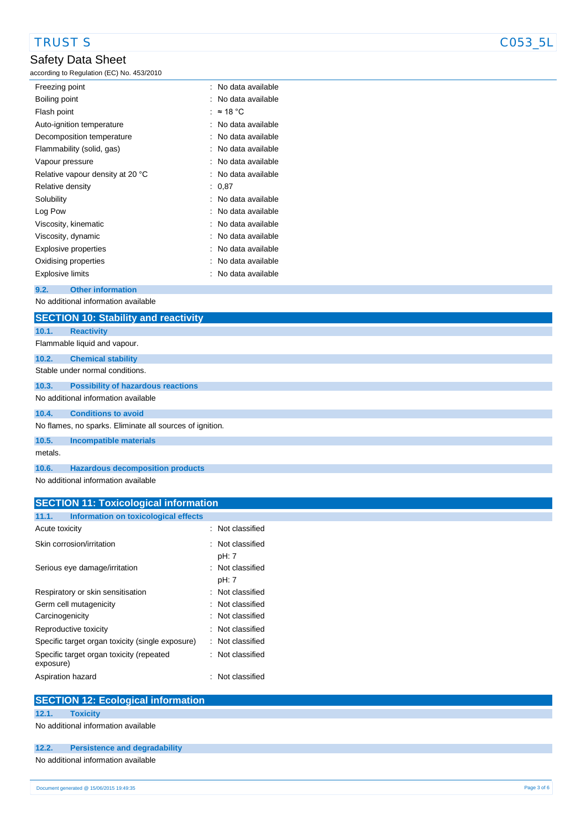## Safety Data Sheet

| according to Regulation (EC) No. 453/2010 |                     |
|-------------------------------------------|---------------------|
| Freezing point                            | : No data available |
| Boiling point                             | No data available   |
| Flash point                               | : $\approx$ 18 °C   |
| Auto-ignition temperature                 | No data available   |
| Decomposition temperature                 | No data available   |
| Flammability (solid, gas)                 | : No data available |
| Vapour pressure                           | : No data available |
| Relative vapour density at 20 °C          | : No data available |
| Relative density                          | : 0.87              |
| Solubility                                | : No data available |
| Log Pow                                   | : No data available |
| Viscosity, kinematic                      | No data available   |
| Viscosity, dynamic                        | No data available   |
| Explosive properties                      | No data available   |
| Oxidising properties                      | No data available   |
| Explosive limits                          | No data available   |
| 9.2.<br><b>Other information</b>          |                     |

No additional information available

|         | <b>SECTION 10: Stability and reactivity</b>              |
|---------|----------------------------------------------------------|
| 10.1.   | <b>Reactivity</b>                                        |
|         | Flammable liquid and vapour.                             |
| 10.2.   | <b>Chemical stability</b>                                |
|         | Stable under normal conditions.                          |
| 10.3.   | <b>Possibility of hazardous reactions</b>                |
|         | No additional information available                      |
| 10.4.   | <b>Conditions to avoid</b>                               |
|         | No flames, no sparks. Eliminate all sources of ignition. |
| 10.5.   | <b>Incompatible materials</b>                            |
| metals. |                                                          |
| 10.6.   | <b>Hazardous decomposition products</b>                  |
|         | No additional information quailable                      |

No additional information available

| <b>SECTION 11: Toxicological information</b>          |                           |  |
|-------------------------------------------------------|---------------------------|--|
| Information on toxicological effects<br>11.1.         |                           |  |
| Acute toxicity                                        | : Not classified          |  |
| Skin corrosion/irritation                             | : Not classified<br>pH: 7 |  |
| Serious eye damage/irritation                         | : Not classified<br>pH: 7 |  |
| Respiratory or skin sensitisation                     | : Not classified          |  |
| Germ cell mutagenicity                                | : Not classified          |  |
| Carcinogenicity                                       | : Not classified          |  |
| Reproductive toxicity                                 | : Not classified          |  |
| Specific target organ toxicity (single exposure)      | : Not classified          |  |
| Specific target organ toxicity (repeated<br>exposure) | : Not classified          |  |
| Aspiration hazard                                     | : Not classified          |  |

| <b>SECTION 12: Ecological information</b> |                                      |  |  |
|-------------------------------------------|--------------------------------------|--|--|
| 12.1.                                     | <b>Toxicity</b>                      |  |  |
| No additional information available       |                                      |  |  |
| 12.2.                                     | <b>Persistence and degradability</b> |  |  |
| No additional information available       |                                      |  |  |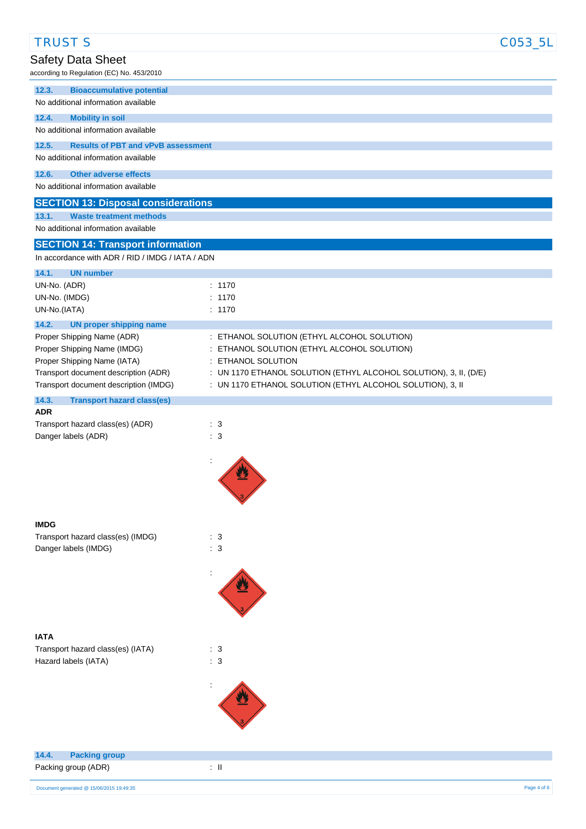| <b>TRUST S</b>                                                                 |                                                                                       | C053_5L |
|--------------------------------------------------------------------------------|---------------------------------------------------------------------------------------|---------|
| Safety Data Sheet                                                              |                                                                                       |         |
| according to Regulation (EC) No. 453/2010                                      |                                                                                       |         |
| 12.3.<br><b>Bioaccumulative potential</b>                                      |                                                                                       |         |
| No additional information available                                            |                                                                                       |         |
| 12.4.<br><b>Mobility in soil</b><br>No additional information available        |                                                                                       |         |
| <b>Results of PBT and vPvB assessment</b><br>12.5.                             |                                                                                       |         |
| No additional information available                                            |                                                                                       |         |
| 12.6.<br><b>Other adverse effects</b>                                          |                                                                                       |         |
| No additional information available                                            |                                                                                       |         |
| <b>SECTION 13: Disposal considerations</b>                                     |                                                                                       |         |
| <b>Waste treatment methods</b><br>13.1.<br>No additional information available |                                                                                       |         |
| <b>SECTION 14: Transport information</b>                                       |                                                                                       |         |
| In accordance with ADR / RID / IMDG / IATA / ADN                               |                                                                                       |         |
| 14.1.<br><b>UN number</b>                                                      |                                                                                       |         |
| UN-No. (ADR)                                                                   | : 1170                                                                                |         |
| UN-No. (IMDG)                                                                  | : 1170                                                                                |         |
| UN-No.(IATA)<br>14.2.<br><b>UN proper shipping name</b>                        | : 1170                                                                                |         |
| Proper Shipping Name (ADR)                                                     | : ETHANOL SOLUTION (ETHYL ALCOHOL SOLUTION)                                           |         |
| Proper Shipping Name (IMDG)                                                    | ETHANOL SOLUTION (ETHYL ALCOHOL SOLUTION)                                             |         |
| Proper Shipping Name (IATA)<br>Transport document description (ADR)            | ETHANOL SOLUTION<br>: UN 1170 ETHANOL SOLUTION (ETHYL ALCOHOL SOLUTION), 3, II, (D/E) |         |
| Transport document description (IMDG)                                          | : UN 1170 ETHANOL SOLUTION (ETHYL ALCOHOL SOLUTION), 3, II                            |         |
| 14.3.<br><b>Transport hazard class(es)</b>                                     |                                                                                       |         |
| <b>ADR</b>                                                                     | $\therefore$ 3                                                                        |         |
| Transport hazard class(es) (ADR)<br>Danger labels (ADR)                        | $\therefore$ 3                                                                        |         |
|                                                                                |                                                                                       |         |
|                                                                                |                                                                                       |         |
|                                                                                |                                                                                       |         |
|                                                                                |                                                                                       |         |
|                                                                                |                                                                                       |         |
| <b>IMDG</b><br>Transport hazard class(es) (IMDG)                               | $\therefore$ 3                                                                        |         |
| Danger labels (IMDG)                                                           | $\therefore$ 3                                                                        |         |
|                                                                                |                                                                                       |         |
|                                                                                |                                                                                       |         |
|                                                                                |                                                                                       |         |
|                                                                                |                                                                                       |         |
| <b>IATA</b>                                                                    |                                                                                       |         |
| Transport hazard class(es) (IATA)                                              | $\therefore$ 3                                                                        |         |
| Hazard labels (IATA)                                                           | $\therefore$ 3                                                                        |         |
|                                                                                |                                                                                       |         |
|                                                                                |                                                                                       |         |
|                                                                                |                                                                                       |         |
|                                                                                |                                                                                       |         |
|                                                                                |                                                                                       |         |
| 14.4.<br><b>Packing group</b>                                                  |                                                                                       |         |
| Packing group (ADR)                                                            | $\div$ II                                                                             |         |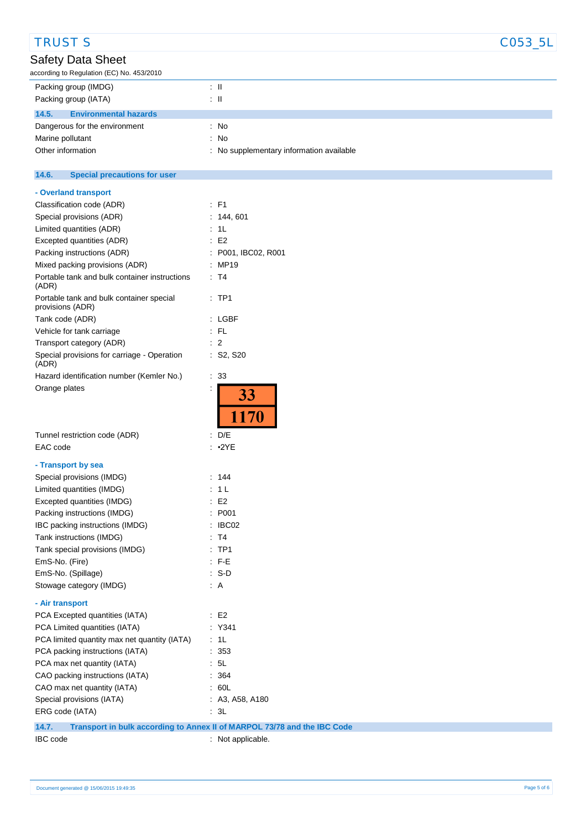| <b>TRUST S</b>                                               |                                                                          | C053_5L |
|--------------------------------------------------------------|--------------------------------------------------------------------------|---------|
| Safety Data Sheet                                            |                                                                          |         |
| according to Regulation (EC) No. 453/2010                    |                                                                          |         |
| Packing group (IMDG)                                         | $\pm$ 11                                                                 |         |
| Packing group (IATA)                                         | $\pm$ 11                                                                 |         |
| 14.5.<br><b>Environmental hazards</b>                        |                                                                          |         |
| Dangerous for the environment                                | : No                                                                     |         |
| Marine pollutant                                             | : No                                                                     |         |
| Other information                                            | : No supplementary information available                                 |         |
| 14.6.<br><b>Special precautions for user</b>                 |                                                                          |         |
| - Overland transport                                         |                                                                          |         |
| Classification code (ADR)                                    | $\therefore$ F1                                                          |         |
| Special provisions (ADR)                                     | : 144, 601                                                               |         |
| Limited quantities (ADR)                                     | : 1L                                                                     |         |
| Excepted quantities (ADR)                                    | $\div$ E2                                                                |         |
| Packing instructions (ADR)                                   | : P001, IBC02, R001                                                      |         |
| Mixed packing provisions (ADR)                               | : MP19                                                                   |         |
| Portable tank and bulk container instructions<br>(ADR)       | : T4                                                                     |         |
| Portable tank and bulk container special<br>provisions (ADR) | $:$ TP1                                                                  |         |
| Tank code (ADR)                                              | : LGBF                                                                   |         |
| Vehicle for tank carriage                                    | $\therefore$ FL                                                          |         |
| Transport category (ADR)                                     | $\therefore$ 2                                                           |         |
| Special provisions for carriage - Operation<br>(ADR)         | : S2, S20                                                                |         |
| Hazard identification number (Kemler No.)                    | $\therefore$ 33                                                          |         |
| Orange plates<br>Tunnel restriction code (ADR)<br>EAC code   | 33<br>1170<br>: D/E<br>: 2YE                                             |         |
|                                                              |                                                                          |         |
| - Transport by sea                                           |                                                                          |         |
| Special provisions (IMDG)                                    | : 144                                                                    |         |
| Limited quantities (IMDG)                                    | : 1L                                                                     |         |
| Excepted quantities (IMDG)                                   | $\therefore$ E2                                                          |         |
| Packing instructions (IMDG)                                  | : P001                                                                   |         |
| IBC packing instructions (IMDG)                              | : IBC02                                                                  |         |
| Tank instructions (IMDG)                                     | $\therefore$ T4                                                          |         |
| Tank special provisions (IMDG)                               | $:$ TP1                                                                  |         |
| EmS-No. (Fire)                                               | $:$ F-E                                                                  |         |
| EmS-No. (Spillage)                                           | $: S-D$                                                                  |         |
| Stowage category (IMDG)                                      | $\therefore$ A                                                           |         |
| - Air transport                                              |                                                                          |         |
| PCA Excepted quantities (IATA)                               | $\therefore$ E2                                                          |         |
| PCA Limited quantities (IATA)                                | : Y341                                                                   |         |
| PCA limited quantity max net quantity (IATA)                 | : 1L                                                                     |         |
| PCA packing instructions (IATA)                              | : 353                                                                    |         |
| PCA max net quantity (IATA)                                  | : 5L                                                                     |         |
| CAO packing instructions (IATA)                              | : 364                                                                    |         |
| CAO max net quantity (IATA)                                  | : 60L                                                                    |         |
| Special provisions (IATA)                                    | : A3, A58, A180                                                          |         |
| ERG code (IATA)                                              | $\therefore$ 3L                                                          |         |
| 14.7.                                                        | Transport in bulk according to Annex II of MARPOL 73/78 and the IBC Code |         |
| IBC code                                                     | : Not applicable.                                                        |         |